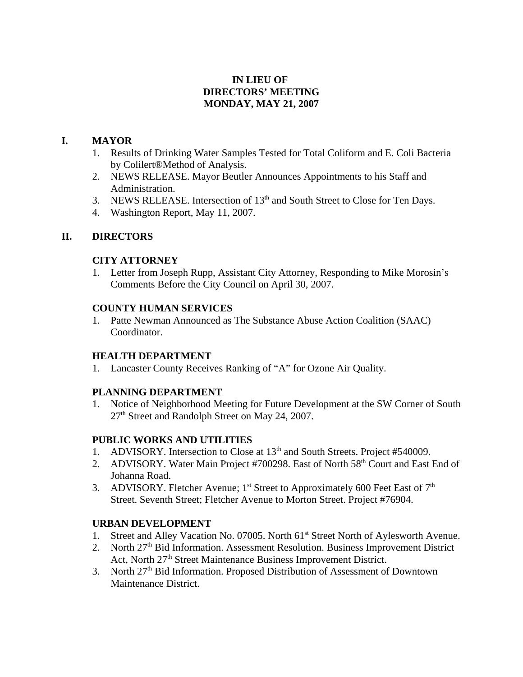# **IN LIEU OF DIRECTORS' MEETING MONDAY, MAY 21, 2007**

## **I. MAYOR**

- 1. Results of Drinking Water Samples Tested for Total Coliform and E. Coli Bacteria by Colilert®Method of Analysis.
- 2. NEWS RELEASE. Mayor Beutler Announces Appointments to his Staff and Administration.
- 3. NEWS RELEASE. Intersection of 13<sup>th</sup> and South Street to Close for Ten Days.
- 4. Washington Report, May 11, 2007.

# **II. DIRECTORS**

# **CITY ATTORNEY**

1. Letter from Joseph Rupp, Assistant City Attorney, Responding to Mike Morosin's Comments Before the City Council on April 30, 2007.

### **COUNTY HUMAN SERVICES**

1. Patte Newman Announced as The Substance Abuse Action Coalition (SAAC) Coordinator.

### **HEALTH DEPARTMENT**

1. Lancaster County Receives Ranking of "A" for Ozone Air Quality.

### **PLANNING DEPARTMENT**

1. Notice of Neighborhood Meeting for Future Development at the SW Corner of South 27th Street and Randolph Street on May 24, 2007.

### **PUBLIC WORKS AND UTILITIES**

- 1. ADVISORY. Intersection to Close at  $13<sup>th</sup>$  and South Streets. Project #540009.
- 2. ADVISORY. Water Main Project #700298. East of North 58<sup>th</sup> Court and East End of Johanna Road.
- 3. ADVISORY. Fletcher Avenue;  $1<sup>st</sup>$  Street to Approximately 600 Feet East of  $7<sup>th</sup>$ Street. Seventh Street; Fletcher Avenue to Morton Street. Project #76904.

### **URBAN DEVELOPMENT**

- 1. Street and Alley Vacation No. 07005. North 61<sup>st</sup> Street North of Aylesworth Avenue.
- 2. North  $27<sup>th</sup>$  Bid Information. Assessment Resolution. Business Improvement District Act, North 27<sup>th</sup> Street Maintenance Business Improvement District.
- 3. North 27<sup>th</sup> Bid Information. Proposed Distribution of Assessment of Downtown Maintenance District.